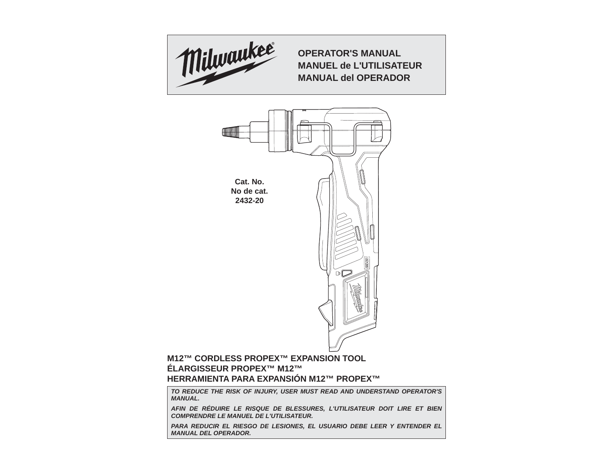

**OPERATOR'S MANUALMANUEL de L'UTILISATEURMANUAL del OPERADOR**



# **M12™ CORDLESS PROPEX™ EXPANSION TOOL ÉLARGISSEUR PROPEX™ M12™HERRAMIENTA PARA EXPANSIÓN M12™ PROPEX™**

*TO REDUCE THE RISK OF INJURY, USER MUST READ AND UNDERSTAND OPERATOR'S MANUAL.*

*AFIN DE RÉDUIRE LE RISQUE DE BLESSURES, L'UTILISATEUR DOIT LIRE ET BIEN COMPRENDRE LE MANUEL DE L'UTILISATEUR.*

PARA REDUCIR EL RIESGO DE LESIONES, EL USUARIO DEBE LEER Y ENTENDER EL *MANUAL DEL OPERADOR.*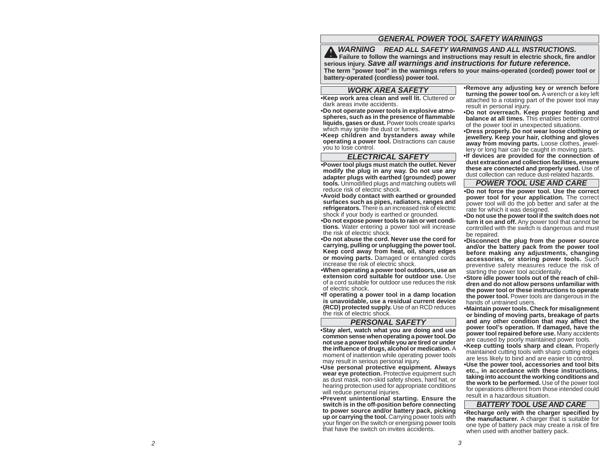# *GENERAL POWER TOOL SAFETY WARNINGS*

*WARNING READ ALL SAFETY WARNINGS AND ALL INSTRUCTIONS.*  **Failure to follow the warnings and instructions may result in electric shock, fire and/or serious injury.** *Save all warnings and instructions for future reference.* **The term "power tool" in the warnings refers to your mains-operated (corded) power tool or battery-operated (cordless) power tool.**

### *WORK AREA SAFETY*

**• Keep work area clean and well lit.** Cluttered or dark areas invite accidents.

 **• Do not operate power tools in explosive atmospheres, such as in the presence of fl ammable liquids, gases or dust.** Power tools create sparks which may ignite the dust or fumes.

**• Keep children and bystanders away while operating a power tool.** Distractions can cause you to lose control.

# *ELECTRICAL SAFETY*

**• Power tool plugs must match the outlet. Never modify the plug in any way. Do not use any adapter plugs with earthed (grounded) power tools.** Unmodified plugs and matching outlets will reduce risk of electric shock.

 **• Avoid body contact with earthed or grounded surfaces such as pipes, radiators, ranges and refrigerators.** There is an increased risk of electric shock if your body is earthed or grounded.

**• Do not expose power tools to rain or wet conditions.** Water entering a power tool will increase the risk of electric shock.

**• Do not abuse the cord. Never use the cord for carrying, pulling or unplugging the power tool. Keep cord away from heat, oil, sharp edges or moving parts.** Damaged or entangled cords increase the risk of electric shock.

 **• When operating a power tool outdoors, use an extension cord suitable for outdoor use.** Use of a cord suitable for outdoor use reduces the risk of electric shock.

**• If operating a power tool in a damp location is unavoidable, use a residual current device (RCD) protected supply.** Use of an RCD reduces the risk of electric shock.

# *PERSONAL SAFETY*

**• Stay alert, watch what you are doing and use common sense when operating a power tool. Do not use a power tool while you are tired or under the infl uence of drugs, alcohol or medication.** A moment of inattention while operating power tools may result in serious personal injury.

**• Use personal protective equipment. Always wear eye protection.** Protective equipment such as dust mask, non-skid safety shoes, hard hat, or hearing protection used for appropriate conditions will reduce personal injuries.

**• Prevent unintentional starting. Ensure the switch is in the off-position before connecting to power source and/or battery pack, picking up or carrying the tool.** Carrying power tools with your finger on the switch or energising power tools that have the switch on invites accidents.

**• Remove any adjusting key or wrench before turning the power tool on.** A wrench or a key left attached to a rotating part of the power tool may result in personal injury.

**• Do not overreach. Keep proper footing and balance at all times.** This enables better control of the power tool in unexpected situations.

**• Dress properly. Do not wear loose clothing or jewellery. Keep your hair, clothing and gloves away from moving parts.** Loose clothes, jewellery or long hair can be caught in moving parts.

**• If devices are provided for the connection of dust extraction and collection facilities, ensure these are connected and properly used.** Use of dust collection can reduce dust-related hazards.

#### *POWER TOOL USE AND CARE*

**• Do not force the power tool. Use the correct power tool for your application.** The correct power tool will do the job better and safer at the rate for which it was designed.

**• Do not use the power tool if the switch does not turn it on and off.** Any power tool that cannot be controlled with the switch is dangerous and must be repaired.

**• Disconnect the plug from the power source and/or the battery pack from the power tool before making any adjustments, changing accessories, or storing power tools.** Such preventive safety measures reduce the risk of starting the power tool accidentally.

**• Store idle power tools out of the reach of children and do not allow persons unfamiliar with the power tool or these instructions to operate the power tool.** Power tools are dangerous in the hands of untrained users.

**• Maintain power tools. Check for misalignment or binding of moving parts, breakage of parts and any other condition that may affect the power tool's operation. If damaged, have the power tool repaired before use.** Many accidents are caused by poorly maintained power tools.

**• Keep cutting tools sharp and clean.** Properly maintained cutting tools with sharp cutting edges are less likely to bind and are easier to control.

**• Use the power tool, accessories and tool bits etc., in accordance with these instructions, taking into account the working conditions and the work to be performed.** Use of the power tool for operations different from those intended could result in a hazardous situation.

#### *BATTERY TOOL USE AND CARE*

**• Recharge only with the charger specified by the manufacturer.** A charger that is suitable for one type of battery pack may create a risk of fire when used with another battery pack.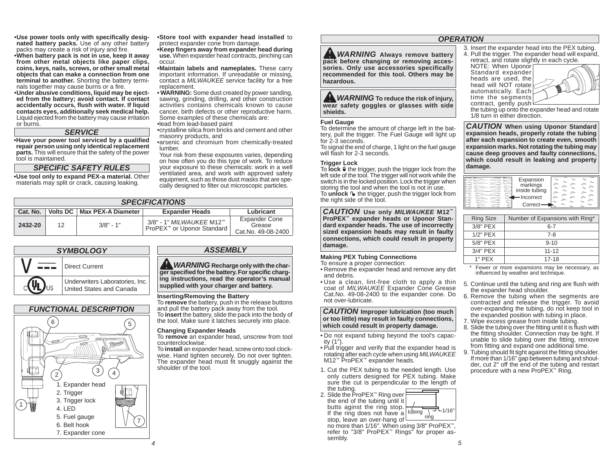**• Use power tools only with specifi cally designated battery packs.** Use of any other battery packs may create a risk of injury and fire.

**• When battery pack is not in use, keep it away from other metal objects like paper clips, coins, keys, nails, screws, or other small metal objects that can make a connection from one terminal to another.** Shorting the battery terminals together may cause burns or a fire.

**• Under abusive conditions, liquid may be ejected from the battery; avoid contact. If contact accidentally occurs, fl ush with water. If liquid contacts eyes, additionally seek medical help.**  Liquid ejected from the battery may cause irritation or burns.

### *SERVICE*

**• Have your power tool serviced by a qualifi ed repair person using only identical replacement parts.** This will ensure that the safety of the power tool is maintained.

*SPECIFIC SAFETY RULES*

**• Use tool only to expand PEX-a material.** Other materials may split or crack, causing leaking.

**• Store tool with expander head installed** to protect expander cone from damage.

**• Keep fi ngers away from expander head during use.** When expander head contracts, pinching can occur.

 **• Maintain labels and nameplates.** These carry important information. If unreadable or missing, contact a *MILWAUKEE* service facility for a free replacement.

**• WARNING:** Some dust created by power sanding, sawing, grinding, drilling, and other construction activities contains chemicals known to cause cancer, birth defects or other reproductive harm. Some examples of these chemicals are:

•lead from lead-based paint

- •crystalline silica from bricks and cement and other masonry products, and
- arsenic and chromium from chemically-treated lumber.

 Your risk from these exposures varies, depending on how often you do this type of work. To reduce your exposure to these chemicals: work in a well ventilated area, and work with approved safety equipment, such as those dust masks that are specially designed to filter out microscopic particles.

|          | <b>SPECIFICATIONS</b> |                               |                                                                 |                                                      |  |  |  |
|----------|-----------------------|-------------------------------|-----------------------------------------------------------------|------------------------------------------------------|--|--|--|
| Cat. No. |                       | Volts DC   Max PEX-A Diameter | <b>Expander Heads</b>                                           | Lubricant                                            |  |  |  |
| 2432-20  | 12                    | $3/8" - 1"$                   | 3/8" - 1" <i>MILWAUKEE</i> M12™<br>ProPEX™ or Uponor Standard I | <b>Expander Cone</b><br>Grease<br>Cat.No. 49-08-2400 |  |  |  |



*FUNCTIONAL DESCRIPTION*

1. Expander head 2. Trigger 3. Trigger lock 4. LED5. Fuel gauge 6. Belt hook7. Expander cone

43) (

5

2

6

1

# *ASSEMBLY*

*WARNING* Recharge only with the char**ger specifi ed for the battery. For specifi c charging instructions, read the operator's manual supplied with your charger and battery.**

#### **Inserting/Removing the Battery**

To **remove** the battery, push in the release buttons and pull the battery pack away from the tool. To **insert** the battery, slide the pack into the body of the tool. Make sure it latches securely into place.

#### **Changing Expander Heads**

To **remove** an expander head, unscrew from tool counterclockwise.

 To **install** an expander head, screw onto tool clockwise. Hand tighten securely. Do not over tighten. The expander head must fit snuggly against the shoulder of the tool.

# *OPERATION*

*WARNING* Always remove battery **pack before changing or removing accessories. Only use accessories specifically recommended for this tool. Others may be hazardous.**

*WARNING* To reduce the risk of injury, **wear safety goggles or glasses with side shields.**

#### **Fuel Gauge**

To determine the amount of charge left in the battery, pull the trigger. The Fuel Gauge will light up for 2-3 seconds.

 To signal the end of charge, 1 light on the fuel gauge will flash for 2-3 seconds.

#### **Trigger Lock**

To **lock**  $\theta$  the trigger, push the trigger lock from the left side of the tool. The trigger will not work while the switch is in the locked position. Lock the trigger when storing the tool and when the tool is not in use. To **unlock ι** the trigger, push the trigger lock from the right side of the tool.

*CAUTION* **Use only** *MILWAUKEE* **M12™ ProPEX™ expander heads or Uponor Standard expander heads. The use of incorrectly sized expansion heads may result in faulty connections, which could result in property damage.**

#### **Making PEX Tubing Connections** To ensure a proper connection:

- Remove the expander head and remove any dirt and debris.
- Use a clean, lint-free cloth to apply a thin coat of *MILWAUKEE* Expander Cone Grease Cat.No. 49-08-2400 to the expander cone. Do not over-lubricate.

*CAUTION* **Improper lubrication (too much or too little) may result in faulty connections, which could result in property damage.**

- Do not expand tubing beyond the tool's capacity (1").
- Pull trigger and verify that the expander head is rotating after each cycle when using *MILWAUKEE* M12™ ProPEX™ expander heads.
- 1. Cut the PEX tubing to the needed length. Use only cutters designed for PEX tubing. Make sure the cut is perpendicular to the length of the tubing.
- 2. Slide the ProPEX™ Ring over the end of the tubing until it butts aginst the ring stop. If the ring does not have a tubing  $\frac{1}{2}$  =  $\frac{1}{2}$  1/16  $\begin{array}{c} \hline \text{r} \text{ in } \text{C} \text{ in } \text{C} \text{ is the range of } \end{array}$  in the major decorrect hang of  $\begin{array}{c} \hline \text{r} \text{ in } \text{C} \text{ is the range of } \end{array}$  $-1/16"$

 *5* no more than 1/16". When using 3/8" ProPEX™, refer to "3/8" ProPEX™ Rings" for proper assembly.

3. Insert the expander head into the PEX tubing. 4. Pull the trigger. The expander head will expand,

retract, and rotate slightly in each cycle. NOTE: When Uponor

Standard expander heads are used, the head will NOT rotate automatically. Each time the segments contract, gently push



the tubing up onto the expander head and rotate 1/8 turn in either direction.

*CAUTION* **When using Uponor Standard expansion heads, properly rotate the tubing after each expansion to create even, smooth expansion marks. Not rotating the tubing may cause deep grooves and faulty connections, which could result in leaking and property damage.**

| Expansion     |                             |  |  |
|---------------|-----------------------------|--|--|
| markings      |                             |  |  |
| inside tubing |                             |  |  |
|               |                             |  |  |
| ncorrect      | ◚                           |  |  |
| Correct       | $\scriptstyle\mathtt{\sim}$ |  |  |
|               |                             |  |  |

| <b>Ring Size</b> | Number of Expansions with Ring* |
|------------------|---------------------------------|
| 3/8" PEX         | 6-7                             |
| $1/2"$ PEX       | 7-8                             |
| 5/8" PEX         | $9 - 10$                        |
| 3/4" PEX         | $11 - 12$                       |
| $1"$ PFX         | 17-18                           |

- \* Fewer or more expansions may be necessary, as influenced by weather and technique.
- 5. Continue until the tubing and ring are flush with the expander head shoulder.
- 6. Remove the tubing when the segments are contracted and release the trigger. To avoid over-expanding the tubing, do not keep tool in the expanded position with tubing in place.
- 7. Wipe excess grease from inside tubing.
- 8. Slide the tubing over the fitting until it is flush with the fitting shoulder. Connection may be tight. If unable to slide tubing over the fitting, remove from fitting and expand one additional time.
- 9. Tubing should fit tight against the fitting shoulder. If more than 1/16" gap between tubing and shoulder, cut 2" off the end of the tubing and restart procedure with a new ProPEX™ Ring.

7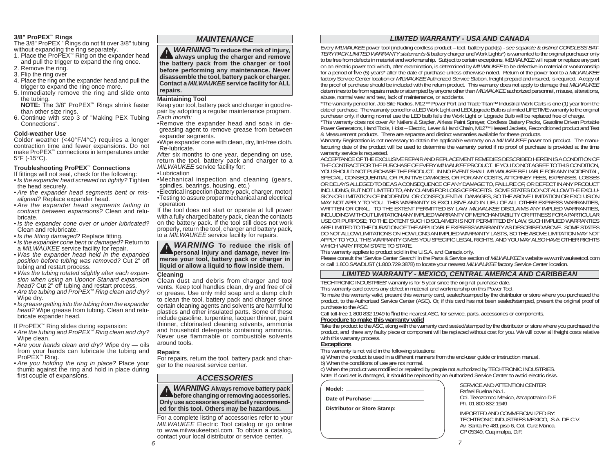#### **3/8" ProPEX™ Rings**

The 3/8" ProPEX™ Rings do not fit over 3/8" tubing without expanding the ring separately.

- 1. Place the ProPEX™ Ring on the expander head and pull the trigger to expand the ring once. 2. Remove the ring.
- 3. Flip the ring over
- 4. Place the ring on the expander head and pull the trigger to expand the ring once more.
- 5. Immediately remove the ring and slide onto the tubing.

**NOTE:** The 3/8" ProPEX™ Rings shrink faster than other size rings.

6. Continue with step 3 of "Making PEX Tubing Connections".

# **Cold-weather Use**

 Colder weather (<40°F/4°C) requires a longer contraction time and fewer expansions. Do not make ProPEX™ connections in temperatures under 5°F (-15°C).

# **Troubleshooting ProPEX™ Connections**

# If fittings will not seal, check for the following:

- *Is the expander head screwed on tightly?* Tighten the head securely.
- *Are the expander head segments bent or misaligned?* Replace expander head.
- *Are the expander head segments failing to contract between expansions?* Clean and relubricate.
- *Is the expander cone over or under lubricated?*  Clean and relubricate.
- Is the fitting damaged? Replace fitting.
- *Is the expander cone bent or damaged?* Return to <sup>a</sup>*MILWAUKEE* service facility for repair.
- *Was the expander head held in the expanded position before tubing was removed?* Cut 2" off tubing and restart process.
- *Was the tubing rotated slightly after each expansion when using an Uponor Stanard expansion head?* Cut 2" off tubing and restart process.
- *Are the tubing and ProPEX*™ *Ring clean and dry?*  Wipe dry.
- *Is grease getting into the tubing from the expander head?* Wipe grease from tubing. Clean and relubricate expander head.

If ProPEX™ Ring slides during expansion:

- *Are the tubing and ProPEX*™ *Ring clean and dry?*  Wipe clean.
- *Are your hands clean and dry?* Wipe dry oils from your hands can lubricate the tubing and ProPEX™ Ring.
- *Are you holding the ring in place?* Place your thumb against the ring and hold in place during first couple of expansions.

# *MAINTENANCE*

*WARNING* **To reduce the risk of injury, Always unplug the charger and remove the battery pack from the charger or tool before performing any maintenance. Never disassemble the tool, battery pack or charger. Contact a** *MILWAUKEE* **service facility for ALL repairs.**

# **Maintaining Tool**

Keep your tool, battery pack and charger in good repair by adopting a regular maintenance program. *Each month:*

- Remove the expander head and soak in degreasing agent to remove grease from between expander segments.
- Wipe expander cone with clean, dry, lint-free cloth. Re-lubricate.

 After six months to one year, depending on use, return the tool, battery pack and charger to a *MILWAUKEE* service facility for:

• Lubrication

- Mechanical inspection and cleaning (gears, spindles, bearings, housing, etc.)
- Electrical inspection (battery pack, charger, motor) • Testing to assure proper mechanical and electrical operation

If the tool does not start or operate at full power with a fully charged battery pack, clean the contacts on the battery pack. If the tool still does not work properly, return the tool, charger and battery pack, to a *MILWAUKEE* service facility for repairs.

*WARNING* **To reduce the risk of Extending personal injury and damage, never immerse your tool, battery pack or charger in liquid or allow a liquid to fl ow inside them.**

# **Cleaning**

Clean dust and debris from charger and tool vents. Keep tool handles clean, dry and free of oil or grease. Use only mild soap and a damp cloth to clean the tool, battery pack and charger since certain cleaning agents and solvents are harmful to plastics and other insulated parts. Some of these include gasoline, turpentine, lacquer thinner, paint thinner, chlorinated cleaning solvents, ammonia and household detergents containing ammonia. Never use flammable or combustible solvents around tools.

# **Repairs**

For repairs, return the tool, battery pack and charger to the nearest service center.

# *ACCESSORIES*

*WARNING* **Always remove battery pack** *before changing or removing accessories.* **Only use accessories specifically recommended for this tool. Others may be hazardous.** 

*6*For a complete listing of accessories refer to your *MILWAUKEE* Electric Tool catalog or go online to www.milwaukeetool.com. To obtain a catalog, contact your local distributor or service center.

# *LIMITED WARRANTY - USA AND CANADA*

Every *MILWAUKEE* power tool (including cordless product – tool, battery pack(s) - *see separate & distinct CORDLESS BAT-TERY PACK LIMITED WARRANTY statements* & battery charger and Work Lights\*) is warranted to the original purchaser only to be free from defects in material and workmanship. Subject to certain exceptions, *MILWAUKEE* will repair or replace any part on an electric power tool which, after examination, is determined by *MILWAUKEE* to be defective in material or workmanship for a period of five (5) years<sup>\*</sup> after the date of purchase unless otherwise noted. Return of the power tool to a *MILWAUKEE* factory Service Center location or *MILWAUKEE* Authorized Service Station, freight prepaid and insured, is required. A copy of the proof of purchase should be included with the return product. This warranty does not apply to damage that *MILWAUKEE* determines to be from repairs made or attempted by anyone other than *MILWAUKEE* authorized personnel, misuse, alterations. abuse, normal wear and tear, lack of maintenance, or accidents.

\*The warranty period for, Job Site Radios, M12™ Power Port and Trade Titan™ Industrial Work Carts is one (1) year from the date of purchase. The warranty period for a LED Work Light and LEDUpgrade Bulb is a limited LIFETIME warranty to the original purchaser only, if during normal use the LED bulb fails the Work Light or Upgrade Bulb will be replaced free of charge.

\*This warranty does not cover Air Nailers & Stapler, Airless Paint Sprayer, Cordless Battery Packs, Gasoline Driven Portable Power Generators, Hand Tools, Hoist – Electric, Lever & Hand Chain, M12™ Heated Jackets, Reconditioned product and Test & Measurement products. There are separate and distinct warranties available for these products.

Warranty Registration is not necessary to obtain the applicable warranty on a *MILWAUKEE* power tool product. The manufacturing date of the product will be used to determine the warranty period if no proof of purchase is provided at the time warranty service is requested.

ACCEPTANCE OF THE EXCLUSIVE REPAIR AND REPLACEMENT REMEDIES DESCRIBED HEREIN IS A CONDITION OF THE CONTRACT FOR THE PURCHASE OF EVERY *MILWAUKEE* PRODUCT. IF YOU DO NOT AGREE TO THIS CONDITION, YOU SHOULD NOT PURCHASE THE PRODUCT. IN NO EVENT SHALL *MILWAUKEE* BE LIABLE FOR ANY INCIDENTAL, SPECIAL, CONSEQUENTIAL OR PUNITIVE DAMAGES, OR FOR ANY COSTS, ATTORNEY FEES, EXPENSES, LOSSES OR DELAYS ALLEGED TO BE AS A CONSEQUENCE OF ANY DAMAGE TO, FAILURE OF, OR DEFECT IN ANY PRODUCT INCLUDING, BUT NOT LIMITED TO, ANY CLAIMS FOR LOSS OF PROFITS. SOME STATES DO NOT ALLOW THE EXCLU-SION OR LIMITATION OF INCIDENTAL OR CONSEQUENTIAL DAMAGES, SO THE ABOVE LIMITATION OR EXCLUSION MAY NOT APPLY TO YOU. THIS WARRANTY IS EXCLUSIVE AND IN LIEU OF ALL OTHER EXPRESS WARRANTIES, WRITTEN OR ORAL. TO THE EXTENT PERMITTED BY LAW, *MILWAUKEE* DISCLAIMS ANY IMPLIED WARRANTIES, INCLUDING WITHOUT LIMITATION ANY IMPLIED WARRANTY OF MERCHANTABILITY OR FITNESS FOR A PARTICULAR USE OR PURPOSE; TO THE EXTENT SUCH DISCLAIMER IS NOT PERMITTED BY LAW, SUCH IMPLIED WARRANTIES ARE LIMITED TO THE DURATION OF THE APPLICABLE EXPRESS WARRANTY AS DESCRIBED ABOVE. SOME STATES DO NOT ALLOW LIMITATIONS ON HOW LONG AN IMPLIED WARRANTY LASTS, SO THE ABOVE LIMITATION MAY NOT APPLY TO YOU, THIS WARRANTY GIVES YOU SPECIFIC LEGAL RIGHTS, AND YOU MAY ALSO HAVE OTHER RIGHTS WHICH VARY FROM STATE TO STATE.

This warranty applies to product sold in the U.S.A. and Canada only.

Please consult the 'Service Center Search' in the Parts & Service section of *MILWAUKEE*'s website www.milwaukeetool.com or call 1.800.SAWDUST (1.800.729.3878) to locate your nearest *MILWAUKEE* factory Service Center location.

# *LIMITED WARRANTY - MEXICO, CENTRAL AMERICA AND CARIBBEAN*

TECHTRONIC INDUSTRIES' warranty is for 5 year since the original purchase date. This warranty card covers any defect in material and workmanship on this Power Tool.

To make this warranty valid, present this warranty card, sealed/stamped by the distributor or store where you purchased the product, to the Authorized Service Center (ASC). Or, if this card has not been sealed/stamped, present the original proof of purchase to the ASC.

Call toll-free 1 800 832 1949 to find the nearest ASC, for service, parts, accessories or components.<br>**Procedure to make this warranty valid** 

Take the product to the ASC, along with the warranty card sealed/stamped by the distributor or store where you purchased the product, and there any faulty piece or component will be replaced without cost for you. We will cover all freight costs relative with this warranty process. **Exceptions**

This warranty is not valid in the following situations:

a) When the product is used in a different manners from the end-user guide or instruction manual.

b) When the conditions of use are not normal.

c) When the product was modified or repaired by people not authorized by TECHTRONIC INDUSTRIES. Note: If cord set is damaged, it should be replaced by an Authorized Service Center to avoid electric risks.

| Model: |  |
|--------|--|
|        |  |

**Date of Purchase:**

**Distributor or Store Stamp:**

 SERVICE AND ATTENTION CENTER Rafael Buelna No.1. Col. Tezozomoc Mexico, Azcapotzalco D.F. Ph. 01 800 832 1949

 IMPORTED AND COMMERCIALIZED BY:TECHTRONIC INDUSTRIES MEXICO, .S.A. DE C.V. Av. Santa Fe 481 piso 6, Col. Curz Manca. CP 05349, Cuajimalpa, D.F.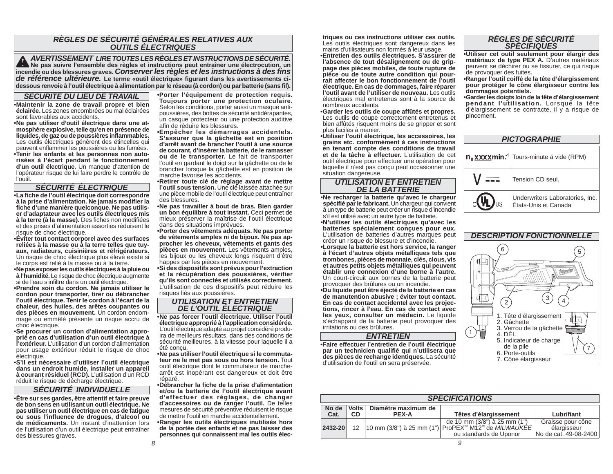# *RÈGLES DE SÉCURITÉ GÉNÉRALES RELATIVES AUX OUTILS ÉLECTRIQUES*

**AVERTISSEMENT LIRE TOUTES LES RÈGLES ET INSTRUCTIONS DE SÉCURITÉ.**<br>Incendie ou des blessures graves. Conserver les règles et instructions peut entraîner une électrocution, un<br>incendie ou des blessures graves. Conserver le *de référence ultérieure.* **Le terme «outil électrique» fi gurant dans les avertissements cidessous renvoie à l'outil électrique à alimentation par le réseau (à cordon) ou par batterie (sans fi l).**

#### *SÉCURITÉ DU LIEU DE TRAVAIL*

**• Maintenir la zone de travail propre et bien éclairée.** Les zones encombrées ou mal éclairées sont favorables aux accidents.

 **• Ne pas utiliser d'outil électrique dans une atmosphère explosive, telle qu'en en présence de liquides, de gaz ou de poussières infl ammables.** Les outils électriques génèrent des étincelles qui peuvent enflammer les poussières ou les fumées. **• Tenir les enfants et les personnes non autorisées à l'écart pendant le fonctionnement d'un outil électrique.** Un manque d'attention de l'opérateur risque de lui faire perdre le contrôle de l'outil.

# *SÉCURITÉ ÉLECTRIQUE*

**• La fi che de l'outil électrique doit correspondre à la prise d'alimentation. Ne jamais modifi er la**  fiche d'une manière quelconque. Ne pas utilis**er d'adaptateur avec les outils électriques mis**  à la terre (à la masse). Des fiches non modifiées et des prises d'alimentation assorties réduisent le risque de choc électrique.

**• Éviter tout contact corporel avec des surfaces reliées à la masse ou à la terre telles que tuyaux, radiateurs, cuisinières et réfrigérateurs.**  Un risque de choc électrique plus élevé existe si le corps est relié à la masse ou à la terre.

**• Ne pas exposer les outils électriques à la pluie ou à l'humidité.** Le risque de choc électrique augmente si de l'eau s'infiltre dans un outil électrique.

**• Prendre soin du cordon. Ne jamais utiliser le cordon pour transporter, tirer ou débrancher l'outil électrique. Tenir le cordon à l'écart de la chaleur, des huiles, des arêtes coupantes ou des pièces en mouvement.** Un cordon endommagé ou emmêlé présente un risque accru de choc électrique.

**• Se procurer un cordon d'alimentation approprié en cas d'utilisation d'un outil électrique à l'extérieur.** L'utilisation d'un cordon d'alimentation pour usage extérieur réduit le risque de choc électrique.

**• S'il est nécessaire d'utiliser l'outil électrique dans un endroit humide, installer un appareil à courant résiduel (RCD).** L'utilisation d'un RCD réduit le risque de décharge électrique.

### *SÉCURITÉ INDIVIDUELLE*

**• Être sur ses gardes, être attentif et faire preuve de bon sens en utilisant un outil électrique. Ne pas utiliser un outil électrique en cas de fatigue ou sous l'infl uence de drogues, d'alcool ou de médicaments.** Un instant d'inattention lors de l'utilisation d'un outil électrique peut entraîner des blessures graves.

**• Porter l'équipement de protection requis. Toujours porter une protection oculaire.**  Selon les conditions, porter aussi un masque antipoussières, des bottes de sécurité antidérapantes, un casque protecteur ou une protection auditive afin de réduire les blessures.

 **• Empêcher les démarrages accidentels. S'assurer que la gâchette est en position d'arrêt avant de brancher l'outil à une source de courant, d'insérer la batterie, de le ramasser ou de le transporter.** Le fait de transporter l'outil en gardant le doigt sur la gâchette ou de le brancher lorsque la gâchette est en position de marche favorise les accidents.

 **• Retirer toute clé de réglage avant de mettre l'outil sous tension.** Une clé laissée attachée sur une pièce mobile de l'outil électrique peut entraîner des blessures.

 **• Ne pas travailler à bout de bras. Bien garder un bon équilibre à tout instant.** Ceci permet de mieux préserver la maîtrise de l'outil électrique dans des situations imprévues.

**• Porter des vêtements adéquats. Ne pas porter de vêtements amples ni de bijoux. Ne pas approcher les cheveux, vêtements et gants des pièces en mouvement.** Les vêtements amples, les bijoux ou les cheveux longs risquent d'être happés par les pièces en mouvement.

**• Si des dispositifs sont prévus pour l'extraction et la récupération des poussières, vérifier qu'ils sont connectés et utilisés correctement.**  L'utilisation de ces dispositifs peut réduire les risques liés aux poussières.

# *UTILISATION ET ENTRETIEN DE L'OUTIL ÉLECTRIQUE*

**• Ne pas forcer l'outil électrique. Utiliser l'outil électrique approprié à l'application considérée.** L'outil électrique adapté au projet considéré produira de meilleurs résultats, dans des conditions de sécurité meilleures, à la vitesse pour laquelle il a été conçu.

**• Ne pas utiliser l'outil électrique si le commutateur ne le met pas sous ou hors tension.** Tout outil électrique dont le commutateur de marchearrêt est inopérant est dangereux et doit être réparé.

**• Débrancher la fi che de la prise d'alimentation et/ou la batterie de l'outil électrique avant d'effectuer des réglages, de changer d'accessoires ou de ranger l'outil.** De telles mesures de sécurité préventive réduisent le risque de mettre l'outil en marche accidentellement.

**triques ou ces instructions utiliser ces outils.** Les outils électriques sont dangereux dans les mains d'utilisateurs non formés à leur usage.

**• Entretien des outils électriques. S'assurer de l'absence de tout désalignement ou de grippage des pièces mobiles, de toute rupture de pièce ou de toute autre condition qui pourrait affecter le bon fonctionnement de l'outil électrique. En cas de dommages, faire réparer l'outil avant de l'utiliser de nouveau.** Les outils électriques mal entretenus sont à la source de nombreux accidents.

 **• Garder les outils de coupe affûtés et propres.** Les outils de coupe correctement entretenus et bien affûtés risquent moins de se gripper et sont

plus faciles à manier. **• Utiliser l'outil électrique, les accessoires, les grains etc. conformément à ces instructions en tenant compte des conditions de travail et de la tâche à effectuer.** L'utilisation de cet outil électrique pour effectuer une opération pour laquelle il n'est pas conçu peut occasionner une situation dangereuse.

#### *UTILISATION ET ENTRETIEN DE LA BATTERIE*

**• Ne recharger la batterie qu'avec le chargeur spécifi é par le fabricant.** Un chargeur qui convient à un type de batterie peut créer un risque d'incendie <sup>s</sup>'il est utilisé avec un autre type de batterie.

**• N'utiliser les outils électriques qu'avec les batteries spécialement conçues pour eux.**  L'utilisation de batteries d'autres marques peut créer un risque de blessure et d'incendie.

**• Lorsque la batterie est hors service, la ranger à l'écart d'autres objets métalliques tels que trombones, pièces de monnaie, clés, clous, vis et autres petits objets métalliques qui peuvent établir une connexion d'une borne à l'autre.**  Un court-circuit aux bornes de la batterie peut provoquer des brûlures ou un incendie.

**• Du liquide peut être éjecté de la batterie en cas de manutention abusive ; éviter tout contact. En cas de contact accidentel avec les projections, rincer à l'eau. En cas de contact avec les yeux, consulter un médecin.** Le liquide <sup>s</sup>'échappant de la batterie peut provoquer des irritations ou des brûlures.

#### *ENTRETIEN*

**• Faire effectuer l'entretien de l'outil électrique par un technicien qualifi é qui n'utilisera que des pièces de rechange identiques.** La sécurité d'utilisation de l'outil en sera préservée.

# *RÈGLES DE SÉCURITÉ SPÉCIFIQUES*

**• Utiliser cet outil seulement pour élargir des matériaux de type PEX A.** D'autres matériaux peuvent se déchirer ou se fissurer, ce qui risque de provoquer des fuites.

**• Ranger l'outil coiffé de la tête d'élargissement pour protéger le cône élargisseur contre les dommages potentiels.**

**• Garder les doigts loin de la tête d'élargissement pendant l'utilisation.** Lorsque la tête d'élargissement se contracte, il y a risque de pincement.

| <b>PICTOGRAPHIE</b> |                                                                 |  |  |  |  |  |
|---------------------|-----------------------------------------------------------------|--|--|--|--|--|
|                     | n <sub>n</sub> xxxxmin. <sup>-1</sup> Tours-minute á vide (RPM) |  |  |  |  |  |
|                     | Tension CD seul.                                                |  |  |  |  |  |
|                     | Underwriters Laboratories, Inc.<br>États-Unis et Canada         |  |  |  |  |  |



| <u>UUUU IU NULLUIIU UU I VULII VIVVLIIUUV UTUIIL</u><br>d'effectuer des réglages, de changer<br>d'accessoires ou de ranger l'outil. De telles      |               |     |                                             | <b>SPECIFICATIONS</b>                                                                                                       | Lubrifiant<br>Graisse pour cône<br>élargisseur<br>  No de cat. 49-08-2400 |
|----------------------------------------------------------------------------------------------------------------------------------------------------|---------------|-----|---------------------------------------------|-----------------------------------------------------------------------------------------------------------------------------|---------------------------------------------------------------------------|
| mesures de sécurité préventive réduisent le risque<br>de mettre l'outil en marche accidentellement.                                                | No de<br>Cat. | CD. | Volts   Diamètre maximum de<br><b>PEX-A</b> | Têtes d'élargissement                                                                                                       |                                                                           |
| •Ranger les outils électriques inutilisés hors<br>de la portée des enfants et ne pas laisser des<br>personnes qui connaissent mal les outils élec- | 2432-20       |     |                                             | de 10 mm (3/8") à 25 mm (1")<br>12   10 mm (3/8") à 25 mm (1") ProPEX™ M12™ de <i>MILWAUKEE</i>  <br>ou standards de Uponor |                                                                           |
|                                                                                                                                                    |               |     |                                             |                                                                                                                             |                                                                           |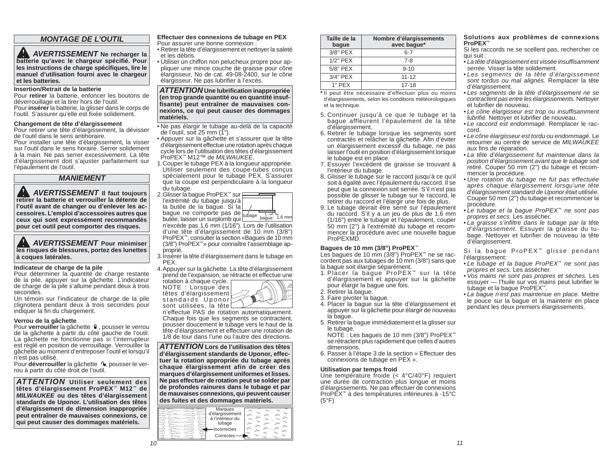# *MONTAGE DE L'OUTIL*

 *AVERTISSEMENT* **Ne recharger la batterie qu'avec le chargeur spécifi é. Pour**  les instructions de charge spécifiques, lire le **manuel d'utilisation fourni avec le chargeur et les batteries.**

#### **Insertion/Retrait de la batterie**

 Pour **retirer** la batterie, enfoncer les boutons de déverrouillage et la tirer hors de l'outil. Pour **insérer** la batterie, la glisser dans le corps de l'outil. S'assurer qu'elle est fixée solidement.

#### **Changement de tête d'élargissement**

Pour retirer une tête d'élargissement, la dévisser de l'outil dans le sens antihoraire.

 Pour installer une tête d'élargissement, la visser sur l'outil dans le sens horaire. Serrer solidement à la main. Ne pas serrer excessivement. La tête d'élargissement doit s'ajuster parfaitement sur l'épaulement de l'outil.

# *MANIEMENT*

 *AVERTISSEMENT* **Il faut toujours retirer la batterie et verrouiller la détente de l'outil avant de changer ou d'enlever les accessoires. L'emploi d'accessoires autres que ceux qui sont expressément recommandés pour cet outil peut comporter des risques.** 

 *AVERTISSEMENT* **Pour minimiser les risques de blessures, portez des lunettes à coques latérales.**

#### **Indicateur de charge de la pile**

Pour déterminer la quantité de charge restante de la pile, appuyer sur la gâchette. L'indicateur de charge de la pile s'allume pendant deux à trois secondes.

 Un témoin sur l'indicateur de charge de la pile clignotera pendant deux à trois secondes pour indiquer la fin du chargement.

#### **Verrou de la gâchette**

Pour **verrouiller** la gâchette  $\theta$ , pousser le verrou de la gâchette à partir du côté gauche de l'outil. La gâchette ne fonctionne pas si l'interrupteur est réglé en position de verrouillage. Verrouiller la gâchette au moment d'entreposer l'outil et lorsqu'il <sup>n</sup>'est pas utilisé.

Pour déverrouiller la gâchette <sup>(1</sup>, pousser le verrou à partir du côté droit de l'outil.

*ATTENTION* **Utiliser seulement des têtes d'élargissement ProPEX**™ **M12**™ **de**  *MILWAUKEE* **ou des têtes d'élargissement standards de Uponor. L'utilisation des têtes d'élargissement de dimension inappropriée peut entraîner de mauvaises connexions, ce qui peut causer des dommages matériels.**

**Effectuer des connexions de tubage en PEX** Pour assurer une bonne connexion :

- Retirer la tête d'élargissement et nettoyer la saleté et les débris.
- Utiliser un chiffon non pelucheux propre pour appliquer une mince couche de graisse pour cône élargisseur, No de cat. 49-08-2400, sur le cône élargisseur. Ne pas lubrifier à l'excès.

*ATTENTION* **Une lubrifi cation inappropriée (en trop grande quantité ou en quantité insuffi sante) peut entraîner de mauvaises connexions, ce qui peut causer des dommages matériels.**

• Ne pas élargir le tubage au-delà de la capacité de l'outil, soit 25 mm  $(\overline{1}^{\prime\prime})$ .

- Appuyer sur la gâchette et s'assurer que la tête d'élargissement effectue une rotation après chaque cycle lors de l'utilisation des têtes d'élargissement ProPEX™ M12™ de *MILWAUKEE*.
- 1. Couper le tubage PEX à la longueur appropriée. Utiliser seulement des coupe-tubes conçus spécialement pour le tubage PEX. S'assurer que la coupe est perpendiculaire à la longueur du tubage.

tubage  $\frac{1}{6}$  bague 1,6 mm 2. Glisser la bague ProPEX™ sur l'extrémité du tubage jusqu'à<br>la butée de la baque. Si la la butée de la bague. Si la bague ne comporte pas de butée, laisser un surplomb qui <sup>n</sup>'excède pas 1,6 mm (1/16"). Lors de l'utilisation d'une tête d'élargissement de 10 mm (3/8") ProPEX™, consulter la section «Bagues de 10 mm (3/8") ProPEX™» pour connaître l'assemblage approprié.

3. Insérer la tête d'élargissement dans le tubage en PEX.

4. Appuyer sur la gâchette. La tête d'élargissement prend de l'expansion, se rétracte et effectue une

NOTE : Lorsque des têtes d'élargissement standards Uponor $\mathbb{P}$ 



<sup>n</sup>'effectue PAS de rotation automatiquement. Chaque fois que les segments se contractent, pousser doucement le tubage vers le haut de la tête d'élargissement et effectuer une rotation de 1/8 de tour dans l'une ou l'autre des directions.

*ATTENTION* **Lors de l'utilisation des têtes d'élargissement standards de Uponor, effectuer la rotation appropriée du tubage après chaque élargissement afin de créer des marques d'élargissement uniformes et lisses. Ne pas effectuer de rotation peut se solder par de profondes rainures dans le tubage et par de mauvaises connexions, qui peuvent causer des fuites et des dommages matériels.**

| Marques<br>d'élargissement<br>à l'intérieur du<br>tubage<br>Incorrectes<br>E<br>Correctes<br>≎ | ≂<br>∼<br>∼<br>́<br>∼<br>r<br>$\sim$<br>∼<br>◚<br>∼<br>◚<br>́<br>∼<br>◚<br>"<br>$\sim$<br>$\sim$<br>∼<br>∼<br>∼ |
|------------------------------------------------------------------------------------------------|-----------------------------------------------------------------------------------------------------------------|
|------------------------------------------------------------------------------------------------|-----------------------------------------------------------------------------------------------------------------|

| Taille de la<br>baque | Nombre d'élargissements<br>avec baque* |
|-----------------------|----------------------------------------|
| 3/8" PEX              | $6 - 7$                                |
| 1/2" PEX              | $7 - 8$                                |
| 5/8" PEX              | $9 - 10$                               |
| 3/4" PEX              | $11 - 12$                              |
| $1"$ PFX              | $17 - 18$                              |

**\*** Il peut être nécessaire d'effectuer plus ou moins d'élargissements, selon les conditions météorologiques et la technique.

- 5. Continuer jusqu'à ce que le tubage et la bague affleurent l'épaulement de la tête d'élargissement.
- 6. Retirer le tubage lorsque les segments sont contractés et relâcher la gâchette. Afin d'éviter un élargissement excessif du tubage, ne pas laisser l'outil en position d'élargissement lorsque le tubage est en place.
- 7. Essuyer l'excédent de graisse se trouvant à l'intérieur du tubage.
- 8. Glisser le tubage sur le raccord jusqu'à ce qu'il soit à égalité avec l'épaulement du raccord. Il se peut que la connexion soit serrée. S'il n'est pas possible de glisser le tubage sur le raccord, le retirer du raccord et l'élargir une fois de plus.
- 9. Le tubage devrait être serré sur l'épaulement du raccord. S'il y a un jeu de plus de 1,6 mm (1/16") entre le tubage et l'épaulement, couper 50 mm (2") à l'extrémité du tubage et recommencer la procédure avec une nouvelle bague ProPEXMD.

#### **Bagues de 10 mm (3/8") ProPEX**™

Les bagues de 10 mm (3/8") ProPEX™ ne se raccordent pas aux tubages de 10 mm (3/8") sans que la bague soit élargie séparément.

- 1. Placer la bague ProPEX<sup>™</sup> sur la tête d'élargissement et appuyer sur la gâchette pour élargir la bague une fois.
- 2. Retirer la bague.
- 3. Faire pivoter la bague.
- 4. Placer la bague sur la tête d'élargissement et appuyer sur la gâchette pour élargir de nouveau la bague.
- 5. Retirer la bague immédiatement et la glisser sur le tubage.

 NOTE : Les bagues de 10 mm (3/8") ProPEX™ se rétractent plus rapidement que celles d'autres dimensions.

6. Passer à l'étape 3 de la section « Effectuer des connexions de tubage en PEX ».

#### **Utilisation par temps froid**

Une température froide (< 4°C/40°F) requiert une durée de contraction plus longue et moins d'élargissements. Ne pas effectuer de connexions ProPEX™ à des températures inférieures à -15°C  $(5^{\circ}F)$ 

#### **Solutions aux problèmes de connexions ProPEX™**

- Si les raccords ne se scellent pas, rechercher ce qui suit :
- *La tête d'élargissement est vissée insuffi samment serrée.* Visser la tête solidement.
- *Les segments de la tête d'élargissement sont tordus ou mal alignés.* Remplacer la tête d'élargissement.
- *Les segments de la tête d'élargissement ne se contractent pas entre les élargissements.* Nettoyer et lubrifier de nouveau.
- *Le cône élargisseur est trop ou insuffi samment lubrifié.* Nettoyer et lubrifier de nouveau.
- *Le raccord est endommagé.* Remplacer le raccord.
- *Le cône élargisseur est tordu ou endommagé.* Le retourner au centre de service de *MILWAUKEE* aux fins de réparation.
- *La tête d'élargissement fut maintenue dans la position d'élargissement avant que le tubage soit retiré.* Couper 50 mm (2") du tubage et recommencer la procédure.
- *Une rotation du tubage ne fut pas effectuée après chaque élargissement lorsqu'une tête d'élargissement standard de Uponor était utilisée.* Couper 50 mm (2") du tubage et recommencer la procédure.
- *Le tubage et la bague ProPEX™ ne sont pas propres et secs.* Les assécher.
- *La graisse s'infi ltre dans le tubage par la tête d'élargissement.* Essuyer la graisse du tubage. Nettoyer et lubrifier de nouveau la tête d'élargissement.

Si la bague ProPEX<sup>™</sup> glisse pendant l'élargissement:

- *Le tubage et la bague ProPEX™ ne sont pas propres et secs.* Les assécher.
- *Vos mains ne sont pas propres et sèches.* Les essuver — l'huile sur vos mains peut lubrifier le tubage et la bague ProPEX™.
- *La bague n'est pas maintenue en place.* Mettre le pouce sur la bague et la maintenir en place pendant les deux premiers élargissements.
- 
- rotation à chaque cycle.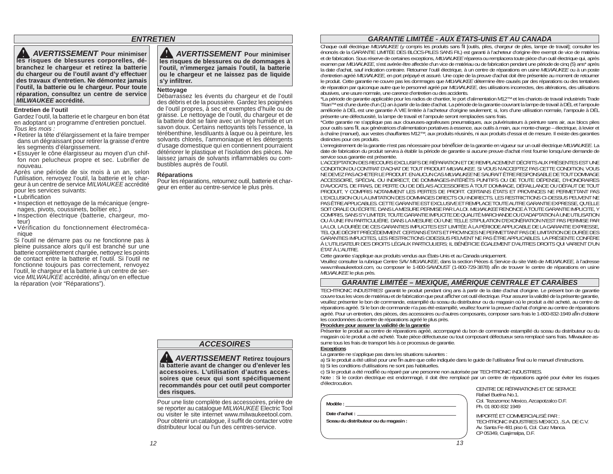# *ENTRETIEN*

 *AVERTISSEMENT* **Pour minimiser les risques de blessures corporelles, débranchez le chargeur et retirez la batterie du chargeur ou de l'outil avant d'y effectuer des travaux d'entretien. Ne démontez jamais l'outil, la batterie ou le chargeur. Pour toute réparation, consultez un centre de service** *MILWAUKEE* **accrédité.**

#### **Entretien de l'outil**

 Gardez l'outil, la batterie et le chargeur en bon état en adoptant un programme d'entretien ponctuel. *Tous les mois :*

- Retirer la tête d'élargissement et la faire tremper dans un dégraissant pour retirer la graisse d'entre les segments d'élargissement.
- Essuyer le cône élargisseur au moyen d'un chiffon non pelucheux propre et sec. Lubrifier de nouveau.

 Après une période de six mois à un an, selon l'utilisation, renvoyez l'outil, la batterie et le chargeur à un centre de service *MILWAUKEE* accrédité pour les services suivants:

- Lubrification
- Inspection et nettoyage de la mécanique (engrenages, pivots, coussinets, boîtier etc.)
- Inspection électrique (batterie, chargeur, moteur)
- Vérification du fonctionnement électromécanique

Si l'outil ne démarre pas ou ne fonctionne pas à pleine puissance alors qu'il est branché sur une batterie complètement chargée, nettoyez les points de contact entre la batterie et l'outil. Si l'outil ne fonctionne toujours pas correctement, renvoyez l'outil, le chargeur et la batterie à un centre de service *MILWAUKEE* accrédité, afinqu'on en effectue la réparation (voir "Réparations").

 *AVERTISSEMENT* **Pour minimiser les risques de blessures ou de dommages à l'outil, n'immergez jamais l'outil, la batterie ou le chargeur et ne laissez pas de liquide <sup>s</sup>'y infi ltrer.**

#### **Nettoyage**

Débarrassez les évents du chargeur et de l'outil des débris et de la poussière. Gardez les poignées de l'outil propres, à sec et exemptes d'huile ou de graisse. Le nettoyage de l'outil, du chargeur et de la batterie doit se faire avec un linge humide et un savon doux. Certains nettoyants tels l'essence, la térébenthine, lesdiluants à laque ou à peinture, les solvants chlorés, l'ammoniaque et les détergents d'usage domestique qui en contiennent pourraient détériorer le plastique et l'isolation des pièces. Ne laissez jamais de solvants inflammables ou combustibles auprès de l'outil.

#### **Réparations**

Pour les réparations, retournez outil, batterie et chargeur en entier au centre-service le plus près.

# *ACCESOIRES*

 *AVERTISSEMENT* **Retirez toujours la batterie avant de changer ou d'enlever les accessoires. L'utilisation d'autres accessoires que ceux qui sont spécifiquement recommandés pour cet outil peut comporter des risques.** 

Pour une liste complète des accessoires, prière de se reporter au catalogue *MILWAUKEE* Electric Tool ou visiter le site internet www.milwaukeetool.com. Pour obtenir un catalogue, il suffit de contacter votre distributeur local ou l'un des centres-service.

# *GARANTIE LIMITÉE - AUX ÉTATS-UNIS ET AU CANADA*

Chaque outil électrique MILWAUKEE (y compris les produits sans fil [outils, piles, chargeur de piles, lampe de travail]; consulter les énoncés de la GARANTIE LIMITÉE DES BLOCS-PILES SANS FIL) est garanti à l'acheteur d'ori et de fabrication. Sous réserve de certaines exceptions, *MILWAUKEE* réparera ou remplacera toute pièce d'un outil électrique qui, après examen par *MILWAUKEE*, <sup>s</sup>'est avérée être affectée d'un vice de matériau ou de fabrication pendant une période de cinq (5) ans\* après la date d'achat, sauf indication contraire. Retourner l'outil électrique, à un centre de réparations en usine *MILWAUKEE* ou à un poste d'entretien agréé *MILWAUKEE*, en port prépayé et assuré. Une copie de la preuve d'achat doit être présentée au moment de retourner le produit. Cette garantie ne couvre pas les dommages que *MILWAUKEE* détermine être causés par des réparations ou des tentatives de réparation par quiconque autre que le personnel agréé par *MILWAUKEE*, des utilisations incorrectes, des altérations, des utilisations

abusives, une usure normale, une carence d'entretien ou des accidents.<br>\*La période de garantie applicable pour les radios de chantier, le port d'alimentation M12™ et les chariots de travail industriels Trade Titan™ est d'une durée d'un (1) an à partir de la date d'achat. La période de la garantie couvrant la lampe de travail à DÉL et l'ampoule<br>améliorée à DÉL est une garantie À VIE limitée à l'acheteur d'origine seulement; si présente une défectuosité, la lampe de travail et l'ampoule seront remplacées sans frais.

\*Cette garantie ne s'applique pas aux cloueuses-agrafeuses pneumatiques, aux pulvérisateurs à peinture sans air, aux blocs piles pour outils sans fi l, aux génératrices d'alimentation portatives à essence, aux outils à main, aux monte-charge – électrique, à levier et à chaîne (manuel), aux vestes chauffantes M12™, aux produits réusinés, ni aux produits d'essai et de mesure. Il existe des garanties distinctes pour ces produits.

L'enregistrement de la garantie n'est pas nécessaire pour bénéficier de la garantie en vigueur sur un outil électrique *MILWAUKEE*. La date de fabrication du produit servira à établir la période de garantie si aucune preuve d'achat n'est fournie lorsqu'une demande de<br>service sous garantie est présentée.

L'ACCEPTATION DES RECOURS EXCLUSIFS DE RÉPARATION ET DE REMPLACEMENT DÉCRITS AUX PRÉSENTES EST UNE CONDITION DU CONTRAT D'ACHAT DE TOUT PRODUIT *MILWAUKEE*. SI VOUS N'ACCEPTEZ PAS CETTE CONDITION, VOUS NE DEVEZ PAS ACHETER LE PRODUIT. EN AUCUN CAS *MILWAUKEE* NE SAURAIT ÊTRE RESPONSABLE DE TOUT DOMMAGE ACCESSOIRE, SPÉCIAL OU INDIRECT, DE DOMMAGES-INTÉRÊTS PUNITIFS OU DE TOUTE DÉPENSE, D'HONORAIRES D'AVOCATS, DE FRAIS, DE PERTE OU DE DÉLAIS ACCESSOIRES À TOUT DOMMAGE, DÉFAILLANCE OU DÉFAUT DE TOUT PRODUIT, Y COMPRIS NOTAMMENT LES PERTES DE PROFIT. CERTAINS ÉTATS ET PROVINCES NE PERMETTANT PAS L'EXCLUSION OU LA LIMITATION DES DOMMAGES DIRECTS OU INDIRECTS, LES RESTRICTIONS CI-DESSUS PEUVENT NE PAS ÊTRE APPLICABLES. CETTE GARANTIE EST EXCLUSIVE ET REMPLACE TOUTE AUTRE GARANTIE EXPRESSE, QU'ELLE SOIT ORALE OU ÉCRITE. DANS LA MESURE PERMISE PAR LA LOI. *MILWAUKEE* RENONCE À TOUTE GARANTIE IMPLICITE, Y COMPRIS, SANS S'Y LIMITER, TOUTE GARANTIE IMPLICITE DE QUALITÉ MARCHANDE OU D'ADAPTATION À UNE UTILISATION OU À UNE FIN PARTICULIÈRE. DANS LA MESURE OÙ UNE TELLE STIPULATION D'EXONÉRATION N'EST PAS PERMISE PAR LA LOI, LA DURÉE DE CES GARANTIES IMPLICITES EST LIMITÉE À LA PÉRIODE APPLICABLE DE LA GARANTIE EXPRESSE, TEL QUE DÉCRIT PRÉCÉDEMMENT. CERTAINS ÉTATS ET PROVINCES NE PERMETTANT PAS DE LIMITATION DE DURÉE DES GARANTIES IMPLICITES, LES RESTRICTIONS CIDESSUS PEUVENT NE PAS ÊTRE APPLICABLES. LA PRÉSENTE CONFÈRE À L'UTILISATEUR DES DROITS LÉGAUX PARTICULIERS; IL BÉNÉFICIE ÉGALEMENT D'AUTRES DROITS QUI VARIENT D'UN ÉTAT À L'AUTRE.

Cette garantie s'applique aux produits vendus aux États-Unis et au Canada uniquement.

Veuillez consulter la rubrique Centre SAV *MILWAUKEE*, dans la section Pièces & Service du site Web de *MILWAUKEE*, à l'adresse www.milwaukeetool.com, ou composer le 1-800-SAWDUST (1-800-729-3878) afin de trouver le centre de réparations en usine *MILWAUKEE* le plus près.

#### *GARANTIE LIMITÉE – MEXIQUE, AMÉRIQUE CENTRALE ET CARAÏBES*

TECHTRONIC INDUSTRIES' garantit le produit pendant cinq ans à partir de la date d'achat d'origine. Le présent bon de garantie couvre tous les vices de matériau et de fabrication que peut afficher cet outil électrique. Pour assurer la validité de la présente garantie, veuillez présenter le bon de commande, estampillé du sceau du distributeur ou du magasin où le produit a été acheté, au centre de réparations agréé. Si le bon de commande n'a pas été estampillé, veuillez fournir la preuve d'achat d'origine au centre de réparations agréé. Pour un entretien, des pièces, des accessoires ou d'autres composants, composer sans frais le 1-800-832-1949 afin d'obtenir les coordonnées du centre de réparations agréé le plus près.

#### **Procédure pour assurer la validité de la garantie**

Présenter le produit au centre de réparations agréé, accompagné du bon de commande estampillé du sceau du distributeur ou du magasin où le produit a été acheté. Toute pièce défectueuse ou tout composant défectueux sera remplacé sans frais. Milwaukee assume tous les frais de transport liés à ce processus de garantie.

### **Exceptions**

- La garantie ne s'applique pas dans les situations suivantes :
- a) Si le produit a été utilisé pour une fin autre que celle indiquée dans le quide de l'utilisateur final ou le manuel d'instructions.
- b) Si les conditions d'utilisations ne sont pas habituelles.
- c) Si le produit a été modifié ou réparé par une personne non autorisée par TECHTRONIC INDUSTRIES.

Note : Si le cordon électrique est endommagé, il doit être remplacé par un centre de réparations agréé pour éviter les risques d'électrocution.

| Modèle :                                                | Rafael Buelna No.1.<br>Col. Tezozomoc Mexico, Azcapotzalco D.F.<br>Ph. 01 800 832 1949                                                                   |
|---------------------------------------------------------|----------------------------------------------------------------------------------------------------------------------------------------------------------|
| Date d'achat :<br>Sceau du distributeur ou du magasin : | IMPORTÉ ET COMMERCIALISÉ PAR :<br>TECHTRONIC INDUSTRIES MEXICO, .S.A. DE C.V.<br>Av. Santa Fe 481 piso 6, Col. Curz Manca.<br>CP 05349, Cuajimalpa, D.F. |

 CENTRE DE RÉPARATIONS ET DE SERVICE Rafael Buelna No.1. Ph. 01 800 832 1949

 IMPORTÉ ET COMMERCIALISÉ PAR : Av. Santa Fe 481 piso 6, Col. Curz Manca. CP 05349, Cuajimalpa, D.F.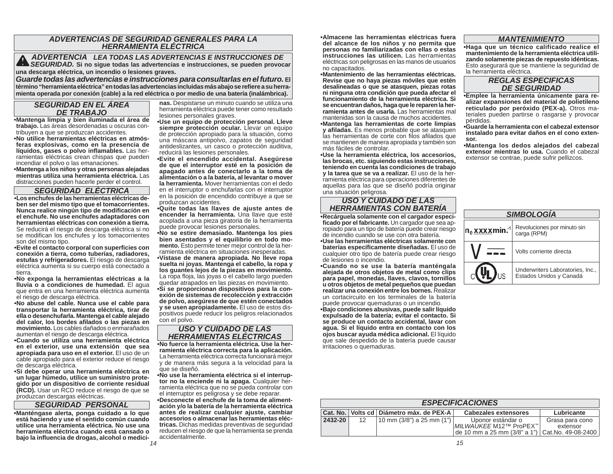# *ADVERTENCIAS DE SEGURIDAD GENERALES PARA LA HERRAMIENTA ELÉCTRICA*

 *ADVERTENCIA LEA TODAS LAS ADVERTENCIAS E INSTRUCCIONES DE SEGURIDAD.* **Si no sigue todas las advertencias e instrucciones, se pueden provocar una descarga eléctrica, un incendio o lesiones graves.**

*Guarde todas las advertencias e instrucciones para consultarlas en el futuro.* **El término "herramienta eléctrica" en todas las advertencias incluidas más abajo se refi ere a su herramienta operada por conexión (cable) a la red eléctrica o por medio de una batería (inalámbrica).**

# *SEGURIDAD EN EL ÁREA DE TRABAJO*

 **• Mantenga limpia y bien iluminada el área de trabajo.** Las áreas desordenadas u oscuras contribuyen a que se produzcan accidentes.

**• No utilice herramientas eléctricas en atmósferas explosivas, como en la presencia de**  líquidos, gases o polvo inflamables. Las herramientas eléctricas crean chispas que pueden incendiar el polvo o las emanaciones.

**• Mantenga a los niños y otras personas alejadas mientras utiliza una herramienta eléctrica.** Las distracciones pueden hacerle perder el control.

### *SEGURIDAD ELÉCTRICA*

**• Los enchufes de las herramientas eléctricas deben ser del mismo tipo que el tomacorrientes. Nunca realice ningún tipo de modifi cación en el enchufe. No use enchufes adaptadores con herramientas eléctricas con conexión a tierra.**  Se reducirá el riesgo de descarga eléctrica si no se modifican los enchufes y los tomacorrientes son del mismo tipo.

**• Evite el contacto corporal con superfi cies con conexión a tierra, como tuberías, radiadores, estufas y refrigeradores.** El riesgo de descarga eléctrica aumenta si su cuerpo está conectado a tierra.

**• No exponga la herramientas eléctricas a la lluvia o a condiciones de humedad.** El agua que entra en una herramienta eléctrica aumenta el riesgo de descarga eléctrica.

**• No abuse del cable. Nunca use el cable para transportar la herramienta eléctrica, tirar de ella o desenchufarla. Mantenga el cable alejado del calor, los bordes afi lados o las piezas en movimiento.** Los cables dañados o enmarañados aumentan el riesgo de descarga eléctrica.

**• Cuando se utiliza una herramienta eléctrica en el exterior, use una extensión que sea apropiada para uso en el exterior.** El uso de un cable apropiado para el exterior reduce el riesgo de descarga eléctrica.

**• Si debe operar una herramienta eléctrica en un lugar húmedo, utilice un suministro protegido por un dispositivo de corriente residual (RCD).** Usar un RCD reduce el riesgo de que se produzcan descargas eléctricas.

#### *SEGURIDAD PERSONAL*

**• Manténgase alerta, ponga cuidado a lo que está haciendo y use el sentido común cuando utilice una herramienta eléctrica. No use una herramienta eléctrica cuando está cansado o bajo la infl uencia de drogas, alcohol o medici-** **nas.** Despistarse un minuto cuando se utiliza una herramienta eléctrica puede tener como resultado lesiones personales graves.

**• Use un equipo de protección personal. Lleve**  siempre protección ocular. Llevar un equipo de protección apropiado para la situación, como una máscara antipolvo, zapatos de seguridad antideslizantes, un casco o protección auditiva, reducirá las lesiones personales.

**• Evite el encendido accidental. Asegúrese de que el interruptor esté en la posición de apagado antes de conectarlo a la toma de alimentación o a la batería, al levantar o mover la herramienta.** Mover herramientas con el dedo en el interruptor o enchufarlas con el interruptor en la posición de encendido contribuye a que se produzcan accidentes.

**• Quite todas las llaves de ajuste antes de**  encender la herramienta. Una llave que esté acoplada a una pieza giratoria de la herramienta puede provocar lesiones personales.

**• No se estire demasiado. Mantenga los pies bien asentados y el equilibrio en todo momento.** Esto permite tener mejor control de la herramienta eléctrica en situaciones inesperadas.

**• Vístase de manera apropiada. No lleve ropa suelta ni joyas. Mantenga el cabello, la ropa y los guantes lejos de la piezas en movimiento.** La ropa floja, las jovas o el cabello largo pueden quedar atrapados en las piezas en movimiento. **• Si se proporcionan dispositivos para la conexión de sistemas de recolección y extracción de polvo, asegúrese de que estén conectados y se usen apropiadamente.** El uso de estos dispositivos puede reducir los peligros relacionados con el polvo.

### *USO Y CUIDADO DE LAS HERRAMIENTAS ELÉCTRICAS*

 **• No fuerce la herramienta eléctrica. Use la herramienta eléctrica correcta para la aplicación.** La herramienta eléctrica correcta funcionará mejor y de manera más segura a la velocidad para la que se diseñó.

**• No use la herramienta eléctrica si el interruptor no la enciende ni la apaga.** Cualquier herramienta eléctrica que no se pueda controlar con el interruptor es peligrosa y se debe reparar.

**• Desconecte el enchufe de la toma de alimentación y/o la batería de la herramienta eléctrica antes de realizar cualquier ajuste, cambiar accesorios o almacenar las herramientas eléctricas.** Dichas medidas preventivas de seguridad reducen el riesgo de que la herramienta se prenda accidentalmente.

**• Almacene las herramientas eléctricas fuera del alcance de los niños y no permita que personas no familiarizadas con ellas o estas instrucciones las utilicen.** Las herramientas eléctricas son peligrosas en las manos de usuarios no capacitados.

**• Mantenimiento de las herramientas eléctricas. Revise que no haya piezas móviles que estén desalineadas o que se atasquen, piezas rotas ni ninguna otra condición que pueda afectar el funcionamiento de la herramienta eléctrica. Si se encuentran daños, haga que le reparen la herramienta antes de usarla.** Las herramientas mal mantenidas son la causa de muchos accidentes.

 **• Mantenga las herramientas de corte limpias y afi ladas.** Es menos probable que se atasquen las herramientas de corte con filos afilados que se mantienen de manera apropiada y también son más fáciles de controlar.

 **• Use la herramienta eléctrica, los accesorios, las brocas, etc. siguiendo estas instrucciones, teniendo en cuenta las condiciones de trabajo y la tarea que se va a realizar.** El uso de la herramienta eléctrica para operaciones diferentes de aquellas para las que se diseñó podría originar una situación peligrosa.

# *USO Y CUIDADO DE LAS HERRAMIENTAS CON BATERÍA*

**• Recárguela solamente con el cargador especi**ficado por el fabricante. Un cargador que sea apropiado para un tipo de batería puede crear riesgo de incendio cuando se use con otra batería.

 **• Use las herramientas eléctricas solamente con baterías específi camente diseñadas.** El uso de cualquier otro tipo de batería puede crear riesgo de lesiones o incendio.

**• Cuando no se use la batería manténgala alejada de otros objetos de metal como clips para papel, monedas, llaves, clavos, tornillos u otros objetos de metal pequeños que puedan realizar una conexión entre los bornes.** Realizar un cortacircuito en los terminales de la batería puede provocar quemaduras o un incendio.

**• Bajo condiciones abusivas, puede salir líquido expulsado de la batería; evitar el contacto. Si se produce un contacto accidental, lavar con agua. Si el líquido entra en contacto con los ojos buscar ayuda médica adicional.** El líquido que sale despedido de la batería puede causar irritaciones o quemaduras.

# *MANTENIMIENTO*

**• Haga que un técnico calificado realice el mantenimiento de la herramienta eléctrica utilizando solamente piezas de repuesto idénticas.**  Esto asegurará que se mantiene la seguridad de la herramienta eléctrica.

# *REGLAS ESPECIFICAS DE SEGURIDAD*

**•Emplee la herramienta únicamente para realizar expansiones del material de polietileno reticulado por peróxido (PEX-a).** Otros materiales pueden partirse o rasgarse y provocar pérdidas.

**• Guarde la herramienta con el cabezal extensor instalado para evitar daños en el cono extensor.** 

 **• Mantenga los dedos alejados del cabezal extensor mientras lo usa.** Cuando el cabezal extensor se contrae, puede sufrir pellizcos.

| <b>SIMBOLOGIA</b>                |                                                             |  |  |  |  |  |
|----------------------------------|-------------------------------------------------------------|--|--|--|--|--|
| $n_0$ x x x x min. <sup>-1</sup> | Revoluciones por minuto sin<br>carga (RPM)                  |  |  |  |  |  |
|                                  | Volts corriente directa                                     |  |  |  |  |  |
|                                  | Underwriters Laboratories, Inc.,<br>Estados Unidos y Canadá |  |  |  |  |  |

|         | <b>ESPECIFICACIONES</b> |                                              |                                                                                                   |                             |  |  |  |
|---------|-------------------------|----------------------------------------------|---------------------------------------------------------------------------------------------------|-----------------------------|--|--|--|
|         |                         | Cat. No.   Volts cd   Diámetro máx. de PEX-A | <b>Cabezales extensores</b>                                                                       | Lubricante                  |  |  |  |
| 2432-20 | 12                      | $10 \text{ mm}$ (3/8") a 25 mm (1")          | Uponor estándar o<br>MILWAUKEE M12™ ProPEX™<br>de 10 mm a 25 mm (3/8" a 1")   Cat. No. 49-08-2400 | Grasa para cono<br>extensor |  |  |  |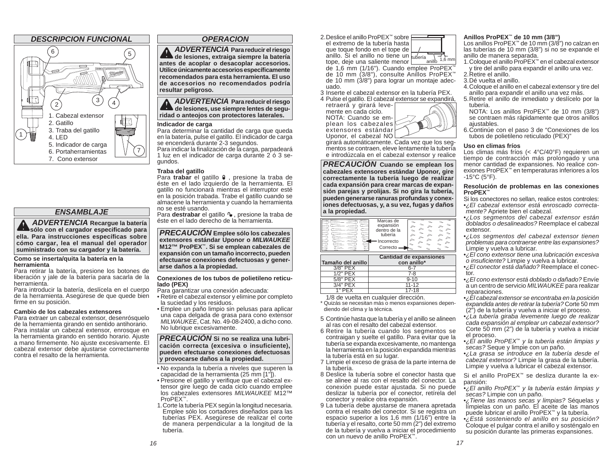

# *ENSAMBLAJE*

 *ADVERTENCIA* **Recargue la batería**  $\triangle$  sólo con el cargador especificado para **ella. Para instrucciones específi cas sobre cómo cargar, lea el manual del operador suministrado con su cargador y la batería.** 

#### **Como se inserta/quita la batería en la herramienta**

Para retirar la batería, presione los botones de liberación y jale de la batería para sacarla de la herramienta.

Para introducir la batería, deslícela en el cuerpo de la herramienta. Asegúrese de que quede bien firme en su posición.

#### **Cambio de los cabezales extensores**

Para extraer un cabezal extensor, desenrósquelo de la herramienta girando en sentido antihorario. Para instalar un cabezal extensor, enrosque en la herramienta girando en sentido horario. Ajuste a mano firmemente. No ajuste excesivamente. El cabezal extensor debe ajustarse correctamente contra el resalto de la herramienta.

#### *OPERACION*

 *ADVERTENCIA* **Para reducir el riesgo de lesiones, extraiga siempre la batería antes de acoplar o desacoplar accesorios. Utilice únicamente accesorios específi camente recomendados para esta herramienta. El uso de accesorios no recomendados podría resultar peligroso.**

 *ADVERTENCIA* **Para reducir el riesgo de lesiones, use siempre lentes de seguridad o anteojos con protectores laterales.** 

#### **Indicador de carga**

Para determinar la cantidad de carga que queda en la batería, pulse el gatillo. El indicador de carga se encenderá durante 2-3 segundos.

Para indicar la finalización de la carga, parpadeará 1 luz en el indicador de carga durante 2 ó 3 segundos.

#### **Traba del gatillo**

Para **trabar** el gatillo  $\theta$ , presione la traba de éste en el lado izquierdo de la herramienta. El gatillo no funcionará mientras el interruptor esté en la posición trabada. Trabe el gatillo cuando se almacene la herramienta y cuando la herramienta no se esté usando.

Para destrabar el gatillo <sup>n</sup> , presione la traba de éste en el lado derecho de la herramienta.

*PRECAUCIÓN* **Emplee sólo los cabezales extensores estándar Uponor o** *MILWAUKEE*  **M12™ ProPEX™. Si se emplean cabezales de expansión con un tamaño incorrecto, pueden efectuarse conexiones defectuosas y generarse daños a la propiedad.**

#### **Conexiones de los tubos de polietileno reticulado (PEX)**

Para garantizar una conexión adecuada:

- Retire el cabezal extensor y elimine por completo la suciedad y los residuos.
- Emplee un paño limpio sin pelusas para aplicar una capa delgada de grasa para cono extensor *MILWAUKEE*, Cat. No. 49-08-2400, a dicho cono. No lubrique excesivamente.

#### *PRECAUCIÓN* **Si no se realiza una lubricación correcta (excesiva o insuficiente), pueden efectuarse conexiones defectuosas y provocarse daños a la propiedad.**

- No expanda la tubería a niveles que superen la capacidad de la herramienta (25 mm [1"]).
- Presione el gatillo y verifique que el cabezal extensor gire luego de cada ciclo cuando emplee los cabezales extensores *MILWAUKEE* M12™ ProPEX™.
- 1. Corte la tubería PEX según la longitud necesaria. Emplee sólo los cortadores diseñados para las tuberías PEX. Asegúrese de realizar el corte de manera perpendicular a la longitud de la tubería.

2. Deslice el anillo ProPEX<sup>™</sup> sobre | el extremo de la tubería hasta que toque fondo en el tope de

tubería  $\lim_{\text{anillo}} 1,6$  mm anillo. Si el anillo no tiene un tope, deje una saliente menor de 1,6 mm (1/16"). Cuando emplee ProPEX™ de 10 mm (3/8"), consulte Anillos ProPEX™ de 10 mm (3/8") para lograr un montaje adecuado.

3 Inserte el cabezal extensor en la tubería PEX.

4 Pulse el gatillo. El cabezal extensor se expandirá,

retraerá y girará levemente en cada ciclo.NOTA: Cuando se em-

plean los cabezales

girará automáticamente. Cada vez que los segmentos se contraen, eleve lentamente la tubería e introdúzcala en el cabezal extensor y realice

*PRECAUCIÓN* **Cuando se emplean los cabezales extensores estándar Uponor, gire correctamente la tubería luego de realizar cada expansión para crear marcas de expansión parejas y prolijas. Si no gira la tubería, pueden generarse ranuras profundas y conexiones defectuosas, y, a su vez, fugas y daños a la propiedad.**

| ́<br>Incorrecto<br>∼<br>$\sim$<br>Correcto<br>空<br>$\sim$<br>∼ |  | Marcas de<br>expansión<br>dentro de la<br>tubería | ́<br>◚ | $\sim$ | ◚ |
|----------------------------------------------------------------|--|---------------------------------------------------|--------|--------|---|
|----------------------------------------------------------------|--|---------------------------------------------------|--------|--------|---|

| Tamaño del anillo | <b>Cantidad de expansiones</b><br>con anillo* |
|-------------------|-----------------------------------------------|
| $3/8"$ PEX        | 6-7                                           |
| $1/2$ " PEX       | $7 - 8$                                       |
| $5/8"$ PEX        | $9 - 10$                                      |
| $3/4"$ PFX        | $11 - 12$                                     |
| $1"$ PFX          | 17-18                                         |

1/8 de vuelta en cualquier dirección.

\* Quizás se necesitan más o menos expansiones dependiendo del clima y la técnica.

- 5 Continúe hasta que la tubería y el anillo se alineen al ras con el resalto del cabezal extensor.
- 6 Retire la tubería cuando los segmentos se contraigan y suelte el gatillo. Para evitar que la tubería se expanda excesivamente, no mantenga la herramienta en la posición expandida mientras la tubería está en su lugar.
- 7 Limpie el exceso de grasa de la parte interna de la tubería.
- 8 Deslice la tubería sobre el conector hasta que se alinee al ras con el resalto del conector. La conexión puede estar ajustada. Si no puede deslizar la tubería por el conector, retírela del conector y realice otra expansión.
- 9 La tubería debe ajustarse de manera apretada contra el resalto del conector. Si se registra un espacio superior a los 1,6 mm (1/16") entre la tubería y el resalto, corte 50 mm (2") del extremo de la tubería y vuelva a iniciar el procedimiento con un nuevo de anillo ProPEX™.

# **Anillos ProPEX™ de 10 mm (3/8")**

Los anillos ProPEX™ de 10 mm (3/8") no calzan en las tuberías de 10 mm (3/8") si no se expande el anillo de manera separada.

- 1. Coloque el anillo ProPEX™ en el cabezal extensor y tire del anillo para expandir el anillo una vez.
- 2. Retire el anillo.3. Dé vuelta el anillo.
- 4. Coloque el anillo en el cabezal extensor y tire del anillo para expandir el anillo una vez más.
- 5. Retire el anillo de inmediato y deslícelo por la tubería.

 NOTA: Los anillos ProPEX™ de 10 mm (3/8") se contraen más rápidamente que otros anillos ajustables.

6. Continúe con el paso 3 de "Conexiones de los tubos de polietileno reticulado (PEX)"

#### **Uso en climas fríos**

 Los climas más fríos (< 4°C/40°F) requieren un tiempo de contracción más prolóngado y una menor cantidad de expansiones. No realice conexiones ProPEX™ en temperaturas inferiores a los  $-15^{\circ}$ C ( $5^{\circ}$ F).

#### **Resolución de problemas en las conexiones ProPEX™**

- Si los conectores no sellan, realice estos controles: • *¿El cabezal extensor está enroscado correctamente?* Apriete bien el cabezal.
- *¿Los segmentos del cabezal extensor están doblados o desalineados?* Reemplace el cabezal extensor.
- *¿Los segmentos del cabezal extensor tienen problemas para contraerse entre las expansiones?* Limpie y vuelva a lubricar.
- *¿El cono extensor tiene una lubricación excesiva o insufi ciente?* Limpie y vuelva a lubricar.
- *¿El conector está dañado?* Reemplace el conector.
- *¿El cono extensor está doblado o dañado?* Envíe a un centro de servicio *MILWAUKEE* para realizar reparaciones.
- *¿El cabezal extensor se encontraba en la posición expandida antes de retirar la tubería?* Corte 50 mm (2") de la tubería y vuelva a iniciar el proceso.
- *¿La tubería giraba levemente luego de realizar cada expansión al emplear un cabezal extensor?*  Corte 50 mm (2") de la tubería y vuelva a iniciar el proceso.
- *¿El anillo ProPEX™ y la tubería están limpias y secas?* Seque y limpie con un paño.
- *¿La grasa se introduce en la tubería desde el cabezal extensor?* Limpie la grasa de la tubería. Limpie y vuelva a lubricar el cabezal extensor.

Si el anillo ProPEX™ se desliza durante la expansión:

- *¿El anillo ProPEX™ y la tubería están limpias y secas?* Limpie con un paño.
- *¿Tiene las manos secas y limpias?* Séquelas y límpielas con un paño. El aceite de las manos puede lubricar el anillo ProPEX™ y la tubería.
- *¿Está sosteniendo el anillo en su posición?*  Coloque el pulgar contra el anillo y sosténgalo en su posición durante las primeras expansiones.

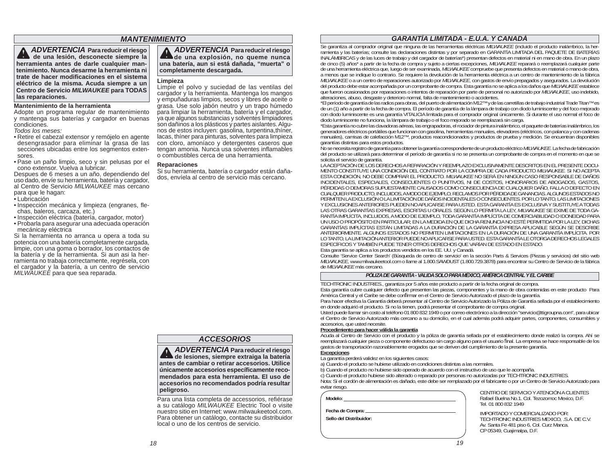# *MANTENIMIENTO*

 *ADVERTENCIA* **Para reducir el riesgo de una lesión, desconecte siempre la herramienta antes de darle cualquier mantenimiento. Nunca desarme la herramienta ni trate de hacer modifi caciones en el sistema eléctrico de la misma. Acuda siempre a un Centro de Servicio** *MILWAUKEE* **para TODAS las reparaciones.**

#### **Mantenimiento de la herramienta**

 Adopte un programa regular de mantenimiento y mantenga sus baterías y cargador en buenas condiciones.

*Todos los meses:*

- Retire el cabezal extensor y remójelo en agente desengrasador para eliminar la grasa de las secciones ubicadas entre los segmentos extensores.
- Pase un paño limpio, seco y sin pelusas por el cono extensor. Vuelva a lubricar.

 Despues de 6 meses a un año, dependiendo del uso dado, envíe su herramienta, batería y cargador, al Centro de Servicio *MILWAUKEE* mas cercano para que le hagan:

- Lubricación
- · Inspección mecánica y limpieza (engranes, flechas, baleros, carcaza, etc.)
- Inspección eléctrica (batería, cargador, motor)
- Probarla para asegurar una adecuada operación mecánicay eléctrica

Si la herramienta no arranca u opera a toda su potencia con una batería completamente cargada, limpie, con una goma o borrador, los contactos de la batería y de la herramienta. Si aun asi la herramienta no trabaja correctamente, regrésela, con el cargador y la batería, a un centro de servicio *MILWAUKEE* para que sea reparada.

#### *ADVERTENCIA* **Para reducir el riesgo de una explosión, no queme nunca una batería, aun si está dañada, "muerta" o completamente descargada.**

#### **Limpieza**

Limpie el polvo y suciedad de las ventilas del cargador y la herramienta. Mantenga los mangos y empuñaduras limpios, secos y libres de aceite o grasa. Use solo jabón neutro y un trapo húmedo para limpiar la herramienta, batería y el cargador, ya que algunos substancias y solventes limpiadores son dañinos a los plásticos y partes aislantes. Algunos de estos incluyen: gasolina, turpentina,thíner, lacas, thíner para pinturas, solventes para limpieza con cloro, amoníaco y detergentes caseros que tengan amonia. Nunca usa solventes inflamables o combustibles cerca de una herramienta.

#### **Reparaciones**

Si su herramienta, batería o cargador están dañados, envíela al centro de servicio más cercano.

# *GARANTÍA LIMITADA - E.U.A. Y CANADÁ*

Se garantiza al comprador original que ninguna de las herramientas eléctricas *MILWAUKEE* (incluido el producto inalámbrico, la herramienta y las baterías; consulte las declaraciones distintas y por separado en GARANTÍA LI de cinco (5) años\* a partir de la fecha de compra y sujeto a ciertas excepciones, *MILWAUKEE* reparará o reemplazará cualquier parte de una herramienta eléctrica que, luego de ser examinada, *MILWAUKEE* compruebe que presenta defectos en material o mano de obra, a menos que se indique lo contrario. Se requiere la devolución de la herramienta eléctrica a un centro de mantenimiento de la fábrica *MILWAUKEE* o a un centro de reparaciones autorizado por *MILWAUKEE*, con gastos de envío prepagados y asegurados. La devolución del producto debe estar acompañada por un comprobante de compra. Esta garantía no se aplica a los daños que *MILWAUKEE* establece que fueron ocasionados por reparaciones o intentos de reparación por parte de personal no autorizado por *MILWAUKEE*, uso indebido, alteraciones, abuso, desgaste y deterioro normal, falta de mantenimiento o accidentes.

\*El período de garantía de las radios para obras, del puerto de alimentación M12™ y de las carretillas de trabajo industrial Trade Titan™ es de un (1) año a partir de la fecha de compra. El período de garantía de la lámpara de trabajo con diodo luminiscente y del foco mejorado con diodo luminiscente es una garantía VITALICIA limitada para el comprador original únicamente. Si durante el uso normal el foco de diodo luminiscente no funciona, la lámpara de trabajo o el foco mejorado se reemplazará sin carga.

\*Esta garantía no cubre las clavadoras aéreas, las engrapadoras, el rociador de pintura inalámbrico, el paquete de baterías inalámbrico, los generadores eléctricos portátiles que funcionan con gasolina, herramientas manuales, elevadores (eléctricos, con palanca y con cadenas manuales), camisas de calefacción M12™, productos reacondicionados y productos de prueba y medición. Se encuentran disponibles garantías distintas para estos productos.

No se necesita registro de garantía para obtener la garantía correspondiente de un producto eléctrico *MILWAUKEE*. La fecha de fabricación del producto se utilizará para determinar el período de garantía si no se presenta un comprobante de compra en el momento en que se

LA ACEPTACIÓN DE LOS DERECHOS A REPARACIÓN Y REEMPLAZO EXCLUSIVAMENTE DESCRITOS EN EL PRESENTE DOCU-MENTO CONSTITUYE UNA CONDICIÓN DEL CONTRATO POR LA COMPRA DE CADA PRODUCTO *MILWAUKEE*. SI NO ACEPTA ESTA CONDICIÓN, NO DEBE COMPRAR EL PRODUCTO. *MILWAUKEE* NO SERÁ EN NINGÚN CASO RESPONSABLE DE DAÑOS INCIDENTALES, ESPECIALES, CONSECUENTES O PUNITIVOS, NI DE COSTOS, HONORARIOS DE ABOGADOS, GASTOS, PÉRDIDAS O DEMORAS SUPUESTAMENTE CAUSADOS COMO CONSECUENCIA DE CUALQUIER DAÑO, FALLA O DEFECTO EN CUALQUIER PRODUCTO, INCLUIDOS, A MODO DE EJEMPLO, RECLAMOS POR PÉRDIDA DE GANANCIAS. ALGUNOS ESTADOS NO PERMITEN LA EXCLUSIÓN O LA LIMITACIÓN DE DAÑOS INCIDENTALES O CONSECUENTES. POR LO TANTO, LAS LIMITACIONES Y EXCLUSIONES ANTERIORES PUEDEN NO APLICARSE PARA USTED. ESTA GARANTÍA ES EXCLUSIVA Y SUSTITUYE A TODAS LAS OTRAS GARANTÍAS EXPRESAS, ESCRITAS U ORALES. SEGÚN LO PERMITA LA LEY, *MILWAUKEE* SE EXIME DE TODA GA-RANTÍA IMPLÍCITA, INCLUIDOS, A MODO DE EJEMPLO, TODA GARANTÍA IMPLÍCITA DE COMERCIABILIDAD O IDONEIDAD PARA UN USO O PROPÓSITO EN PARTICULAR; EN LA MEDIDA EN QUE DICHA RENUNCIA NO ESTÉ PERMITIDA POR LA LEY, DICHAS GARANTÍAS IMPLÍCITAS ESTÁN LIMITADAS A LA DURACIÓN DE LA GARANTÍA EXPRESA APLICABLE SEGÚN SE DESCRIBE ANTERIORMENTE. ALGUNOS ESTADOS NO PERMITEN LIMITACIONES EN LA DURACIÓN DE UNA GARANTÍA IMPLÍCITA. POR LO TANTO, LA LIMITACIÓN ANTERIOR PUEDE NO APLICARSE PARA USTED. ESTA GARANTÍA LE OTORGA DERECHOS LEGALES ESPECÍFICOS Y TAMBIÉN PUEDE TENER OTROS DERECHOS QUE VARÍAN DE ESTADO EN ESTADO.

Esta garantía se aplica a los productos vendidos en los EE. UU. y Canadá.

Consulte 'Service Center Search' (Búsqueda de centro de servicio' en la sección Parts & Services (Piezas y servicios) del sitio web *MILWAUKEE*, www.milwaukeetool.com o llame al 1.800.SAWDUST (1.800.729.3878) para encontrar su Centro de Servicio de la fábrica de *MILWAUKEE* más cercano.

#### *PÓLIZA DE GARANTÍA - VALIDA SOLO PARA MÉXICO, AMÉRICA CENTRAL Y EL CARIBE*

TECHTRONIC INDUSTRIES., garantiza por 5 años este producto a partir de la fecha original de compra.

Esta garantía cubre cualquier defecto que presenten las piezas, componentes y la mano de obra contenidas en este producto Para América Central y el Caribe se debe confirmar en el Centro de Servicio Autorizado el plazo de la garantía.

Para hacer efectiva la Garantía deberá presentar al Centro de Servicio Autorizado la Póliza de Garantía sellada por el establecimiento en donde adquirió el producto. Si no la tienen, podrá presentar el comprobante de compra original.

Usted puede llamar sin costo al teléfono 01 800 832 1949 o por correo electrónico a la dirección "servicio@ttigroupna.com", para ubicar el Centro de Servicio Autorizado más cercano a su domicilio, en el cual además podrá adquirir partes, componentes, consumibles y accesorios, que usted necesite.

#### **Procedimiento para hacer válida la garantía**

Acuda al Centro de Servicio con el producto y la póliza de garantía sellada por el establecimiento donde realizó la compra. Ahí se reemplazará cualquier pieza o componente defectuoso sin cargo alguno para el usuario final. La empresa se hace responsable de los gastos de transportación razonablemente erogados que se deriven del cumplimiento de la presente garantía.

#### **Excepciones**

- La garantía perderá validez en los siguientes casos:
- a) Cuando el producto se hubiese utilizado en condiciones distintas a las normales.
- b) Cuando el producto no hubiese sido operado de acuerdo con el instructivo de uso que le acompaña.

c) Cuando el producto hubiese sido alterado o reparado por personas no autorizadas por TECHTRONIC INDUSTRIES. Nota: Si el cordón de alimentación es dañado, este debe ser remplazado por el fabricante o por un Centro de Servicio Autorizado para

| Modelo:                                       | CENTRO DE SERVICIO Y ATENCION A CLIENTES<br>Rafael Buelna No.1. Col. Tezozomoc Mexico, D.F.<br>Tel. 01 800 832 1949                                        |
|-----------------------------------------------|------------------------------------------------------------------------------------------------------------------------------------------------------------|
| Fecha de Compra: _<br>Sello del Distribuidor: | IMPORTADO Y COMERCIALIZADO POR:<br>TECHTRONIC INDUSTRIES MEXICO. . S.A. DE C.V.<br>Av. Santa Fe 481 piso 6, Col. Curz Manca.<br>CP 05349, Cuajimalpa, D.F. |

VTRO DE SERVICIO Y ATENCIÓN A CLIENTES ael Buelna No.1. Col. Tezozomoc Mexico, D.F. 01 800 832 1949

# *ACCESORIOS*

 *ADVERTENCIA* **Para reducir el riesgo**

de lesiones, siempre extraiga la batería **antes de cambiar o retirar accesorios. Utilice únicamente accesorios específi camente recomendados para esta herramienta. El uso de accesorios no recomendados podría resultar peligroso.**

Para una lista completa de accessorios, refiérase a su catálogo *MILWAUKEE* Electric Tool o visite nuestro sitio en Internet: www.milwaukeetool.com. Para obtener un catálogo, contacte su distribuidor local o uno de los centros de servicio.